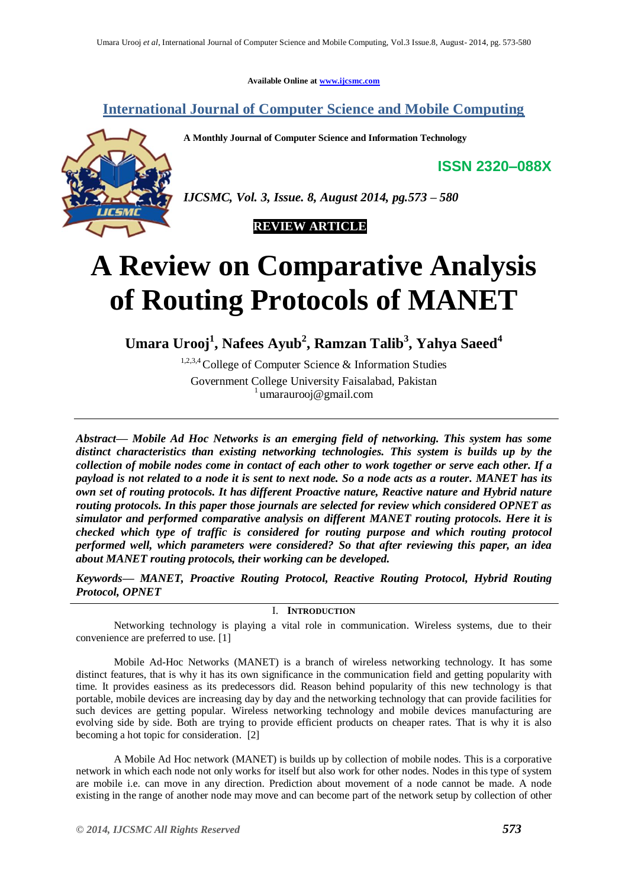**Available Online at [www.ijcsmc.com](http://www.ijcsmc.com/)**

**International Journal of Computer Science and Mobile Computing**

**A Monthly Journal of Computer Science and Information Technology**

**ISSN 2320–088X**



*IJCSMC, Vol. 3, Issue. 8, August 2014, pg.573 – 580*



# **A Review on Comparative Analysis of Routing Protocols of MANET**

**Umara Urooj<sup>1</sup> , Nafees Ayub<sup>2</sup> , Ramzan Talib<sup>3</sup> , Yahya Saeed<sup>4</sup>**

1,2,3,4 College of Computer Science & Information Studies Government College University Faisalabad, Pakistan 1 umaraurooj@gmail.com

*Abstract— Mobile Ad Hoc Networks is an emerging field of networking. This system has some distinct characteristics than existing networking technologies. This system is builds up by the collection of mobile nodes come in contact of each other to work together or serve each other. If a payload is not related to a node it is sent to next node. So a node acts as a router. MANET has its own set of routing protocols. It has different Proactive nature, Reactive nature and Hybrid nature routing protocols. In this paper those journals are selected for review which considered OPNET as simulator and performed comparative analysis on different MANET routing protocols. Here it is checked which type of traffic is considered for routing purpose and which routing protocol performed well, which parameters were considered? So that after reviewing this paper, an idea about MANET routing protocols, their working can be developed.*

*Keywords— MANET, Proactive Routing Protocol, Reactive Routing Protocol, Hybrid Routing Protocol, OPNET*

I. **INTRODUCTION**

Networking technology is playing a vital role in communication. Wireless systems, due to their convenience are preferred to use. [1]

Mobile Ad-Hoc Networks (MANET) is a branch of wireless networking technology. It has some distinct features, that is why it has its own significance in the communication field and getting popularity with time. It provides easiness as its predecessors did. Reason behind popularity of this new technology is that portable, mobile devices are increasing day by day and the networking technology that can provide facilities for such devices are getting popular. Wireless networking technology and mobile devices manufacturing are evolving side by side. Both are trying to provide efficient products on cheaper rates. That is why it is also becoming a hot topic for consideration. [2]

A Mobile Ad Hoc network (MANET) is builds up by collection of mobile nodes. This is a corporative network in which each node not only works for itself but also work for other nodes. Nodes in this type of system are mobile i.e. can move in any direction. Prediction about movement of a node cannot be made. A node existing in the range of another node may move and can become part of the network setup by collection of other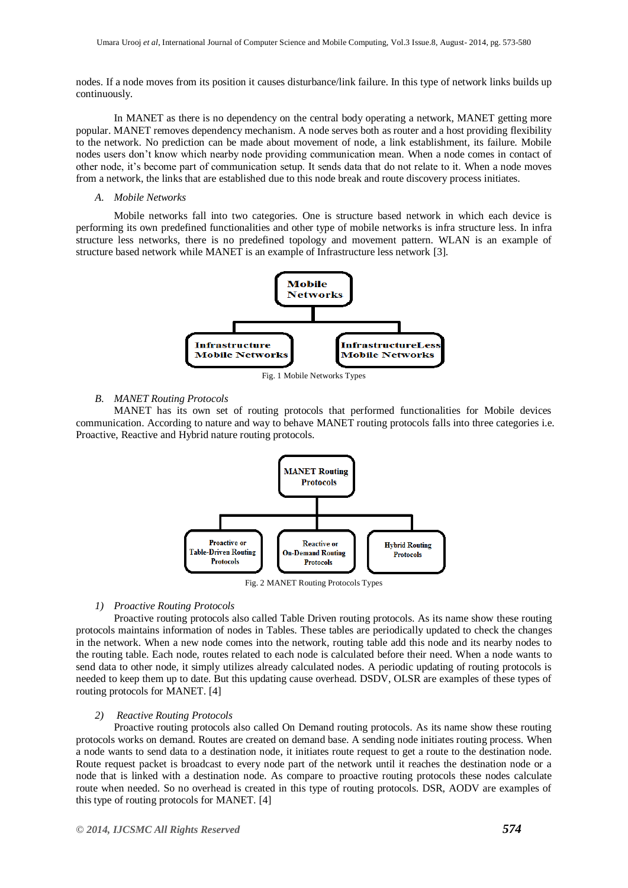nodes. If a node moves from its position it causes disturbance/link failure. In this type of network links builds up continuously.

In MANET as there is no dependency on the central body operating a network, MANET getting more popular. MANET removes dependency mechanism. A node serves both as router and a host providing flexibility to the network. No prediction can be made about movement of node, a link establishment, its failure. Mobile nodes users don't know which nearby node providing communication mean. When a node comes in contact of other node, it's become part of communication setup. It sends data that do not relate to it. When a node moves from a network, the links that are established due to this node break and route discovery process initiates.

#### *A. Mobile Networks*

Mobile networks fall into two categories. One is structure based network in which each device is performing its own predefined functionalities and other type of mobile networks is infra structure less. In infra structure less networks, there is no predefined topology and movement pattern. WLAN is an example of structure based network while MANET is an example of Infrastructure less network [3].



Fig. 1 Mobile Networks Types

#### *B. MANET Routing Protocols*

MANET has its own set of routing protocols that performed functionalities for Mobile devices communication. According to nature and way to behave MANET routing protocols falls into three categories i.e. Proactive, Reactive and Hybrid nature routing protocols.



Fig. 2 MANET Routing Protocols Types

#### *1) Proactive Routing Protocols*

Proactive routing protocols also called Table Driven routing protocols. As its name show these routing protocols maintains information of nodes in Tables. These tables are periodically updated to check the changes in the network. When a new node comes into the network, routing table add this node and its nearby nodes to the routing table. Each node, routes related to each node is calculated before their need. When a node wants to send data to other node, it simply utilizes already calculated nodes. A periodic updating of routing protocols is needed to keep them up to date. But this updating cause overhead. DSDV, OLSR are examples of these types of routing protocols for MANET. [4]

#### *2) Reactive Routing Protocols*

Proactive routing protocols also called On Demand routing protocols. As its name show these routing protocols works on demand. Routes are created on demand base. A sending node initiates routing process. When a node wants to send data to a destination node, it initiates route request to get a route to the destination node. Route request packet is broadcast to every node part of the network until it reaches the destination node or a node that is linked with a destination node. As compare to proactive routing protocols these nodes calculate route when needed. So no overhead is created in this type of routing protocols. DSR, AODV are examples of this type of routing protocols for MANET. [4]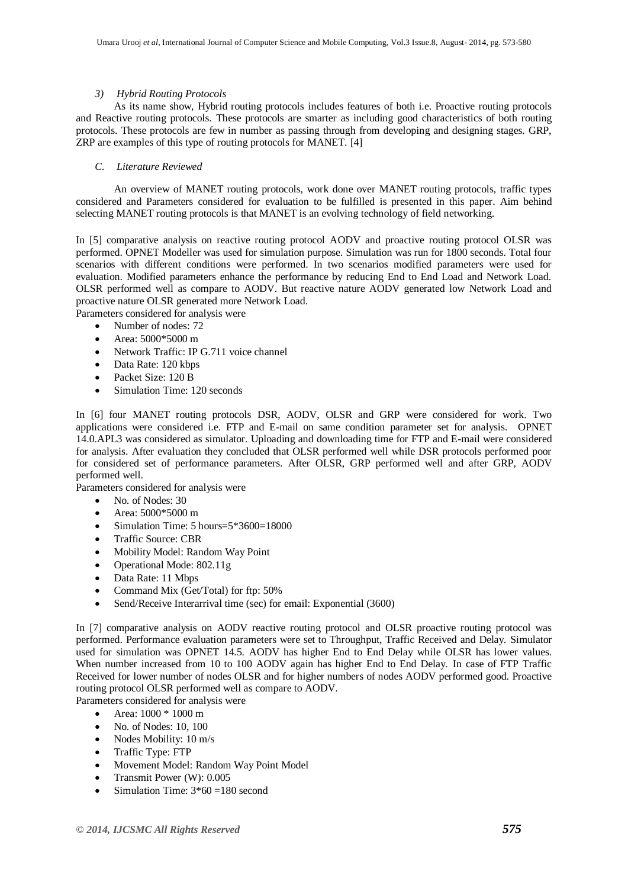## *3) Hybrid Routing Protocols*

As its name show, Hybrid routing protocols includes features of both i.e. Proactive routing protocols and Reactive routing protocols. These protocols are smarter as including good characteristics of both routing protocols. These protocols are few in number as passing through from developing and designing stages. GRP, ZRP are examples of this type of routing protocols for MANET. [4]

## *C. Literature Reviewed*

An overview of MANET routing protocols, work done over MANET routing protocols, traffic types considered and Parameters considered for evaluation to be fulfilled is presented in this paper. Aim behind selecting MANET routing protocols is that MANET is an evolving technology of field networking.

In [5] comparative analysis on reactive routing protocol AODV and proactive routing protocol OLSR was performed. OPNET Modeller was used for simulation purpose. Simulation was run for 1800 seconds. Total four scenarios with different conditions were performed. In two scenarios modified parameters were used for evaluation. Modified parameters enhance the performance by reducing End to End Load and Network Load. OLSR performed well as compare to AODV. But reactive nature AODV generated low Network Load and proactive nature OLSR generated more Network Load.

Parameters considered for analysis were

- Number of nodes: 72
- Area: 5000\*5000 m
- Network Traffic: IP G.711 voice channel
- Data Rate: 120 kbps
- Packet Size: 120 B
- Simulation Time: 120 seconds

In [6] four MANET routing protocols DSR, AODV, OLSR and GRP were considered for work. Two applications were considered i.e. FTP and E-mail on same condition parameter set for analysis. OPNET 14.0.APL3 was considered as simulator. Uploading and downloading time for FTP and E-mail were considered for analysis. After evaluation they concluded that OLSR performed well while DSR protocols performed poor for considered set of performance parameters. After OLSR, GRP performed well and after GRP, AODV performed well.

Parameters considered for analysis were

- No. of Nodes: 30
- Area: 5000\*5000 m
- $\bullet$  Simulation Time: 5 hours= $5*3600=18000$
- Traffic Source: CBR
- Mobility Model: Random Way Point
- Operational Mode: 802.11g
- Data Rate: 11 Mbps
- Command Mix (Get/Total) for ftp: 50%
- Send/Receive Interarrival time (sec) for email: Exponential (3600)

In [7] comparative analysis on AODV reactive routing protocol and OLSR proactive routing protocol was performed. Performance evaluation parameters were set to Throughput, Traffic Received and Delay. Simulator used for simulation was OPNET 14.5. AODV has higher End to End Delay while OLSR has lower values. When number increased from 10 to 100 AODV again has higher End to End Delay. In case of FTP Traffic Received for lower number of nodes OLSR and for higher numbers of nodes AODV performed good. Proactive routing protocol OLSR performed well as compare to AODV.

- Parameters considered for analysis were
	- Area:  $1000 * 1000$  m
	- No. of Nodes: 10, 100
	- Nodes Mobility: 10 m/s
	- Traffic Type: FTP
	- Movement Model: Random Way Point Model
	- Transmit Power (W): 0.005
	- Simulation Time: 3\*60 =180 second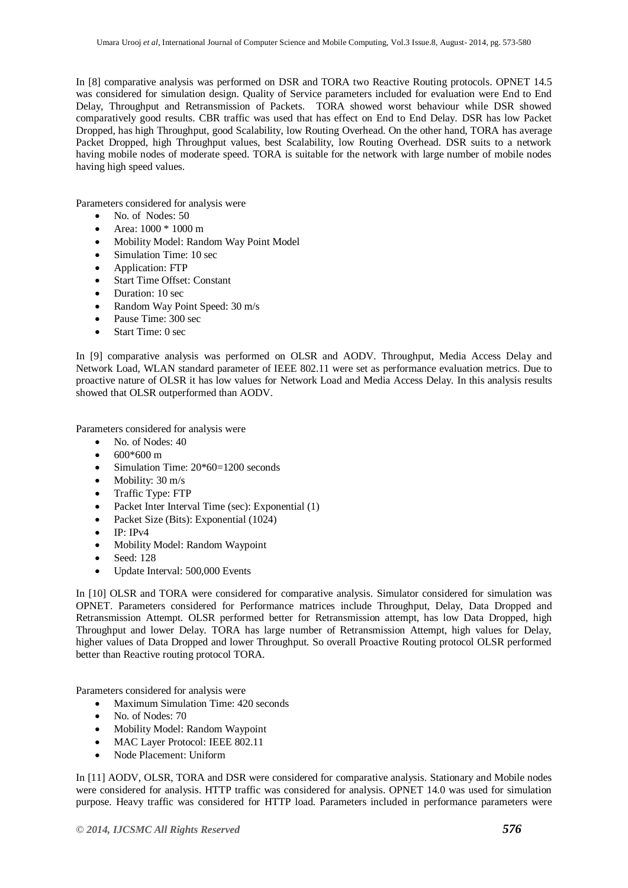In [8] comparative analysis was performed on DSR and TORA two Reactive Routing protocols. OPNET 14.5 was considered for simulation design. Quality of Service parameters included for evaluation were End to End Delay, Throughput and Retransmission of Packets. TORA showed worst behaviour while DSR showed comparatively good results. CBR traffic was used that has effect on End to End Delay. DSR has low Packet Dropped, has high Throughput, good Scalability, low Routing Overhead. On the other hand, TORA has average Packet Dropped, high Throughput values, best Scalability, low Routing Overhead. DSR suits to a network having mobile nodes of moderate speed. TORA is suitable for the network with large number of mobile nodes having high speed values.

Parameters considered for analysis were

- No. of Nodes: 50
- Area: 1000 \* 1000 m
- Mobility Model: Random Way Point Model
- Simulation Time: 10 sec
- Application: FTP
- Start Time Offset: Constant
- Duration: 10 sec
- Random Way Point Speed: 30 m/s
- Pause Time: 300 sec
- Start Time: 0 sec

In [9] comparative analysis was performed on OLSR and AODV. Throughput, Media Access Delay and Network Load, WLAN standard parameter of IEEE 802.11 were set as performance evaluation metrics. Due to proactive nature of OLSR it has low values for Network Load and Media Access Delay. In this analysis results showed that OLSR outperformed than AODV.

Parameters considered for analysis were

- No. of Nodes: 40
- 600\*600 m
- Simulation Time:  $20*60=1200$  seconds
- $\bullet$  Mobility: 30 m/s
- Traffic Type: FTP
- Packet Inter Interval Time (sec): Exponential (1)
- Packet Size (Bits): Exponential (1024)
- IP: IPv4
- Mobility Model: Random Waypoint
- Seed: 128
- Update Interval: 500,000 Events

In [10] OLSR and TORA were considered for comparative analysis. Simulator considered for simulation was OPNET. Parameters considered for Performance matrices include Throughput, Delay, Data Dropped and Retransmission Attempt. OLSR performed better for Retransmission attempt, has low Data Dropped, high Throughput and lower Delay. TORA has large number of Retransmission Attempt, high values for Delay, higher values of Data Dropped and lower Throughput. So overall Proactive Routing protocol OLSR performed better than Reactive routing protocol TORA.

Parameters considered for analysis were

- Maximum Simulation Time: 420 seconds
- No. of Nodes: 70
- Mobility Model: Random Waypoint
- MAC Layer Protocol: IEEE 802.11
- Node Placement: Uniform

In [11] AODV, OLSR, TORA and DSR were considered for comparative analysis. Stationary and Mobile nodes were considered for analysis. HTTP traffic was considered for analysis. OPNET 14.0 was used for simulation purpose. Heavy traffic was considered for HTTP load. Parameters included in performance parameters were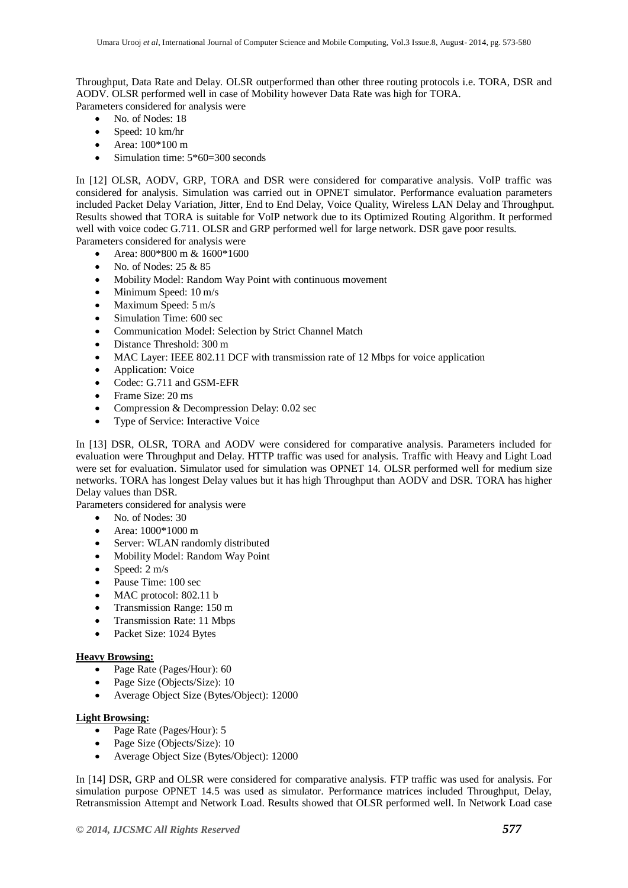Throughput, Data Rate and Delay. OLSR outperformed than other three routing protocols i.e. TORA, DSR and AODV. OLSR performed well in case of Mobility however Data Rate was high for TORA.

Parameters considered for analysis were

- No. of Nodes: 18
- Speed: 10 km/hr
- Area: 100\*100 m
- Simulation time: 5\*60=300 seconds

In [12] OLSR, AODV, GRP, TORA and DSR were considered for comparative analysis. VoIP traffic was considered for analysis. Simulation was carried out in OPNET simulator. Performance evaluation parameters included Packet Delay Variation, Jitter, End to End Delay, Voice Quality, Wireless LAN Delay and Throughput. Results showed that TORA is suitable for VoIP network due to its Optimized Routing Algorithm. It performed well with voice codec G.711. OLSR and GRP performed well for large network. DSR gave poor results. Parameters considered for analysis were

- Area: 800\*800 m & 1600\*1600
- No. of Nodes: 25 & 85
- Mobility Model: Random Way Point with continuous movement
- Minimum Speed: 10 m/s
- Maximum Speed: 5 m/s
- Simulation Time: 600 sec
- Communication Model: Selection by Strict Channel Match
- Distance Threshold: 300 m
- MAC Layer: IEEE 802.11 DCF with transmission rate of 12 Mbps for voice application
- Application: Voice
- Codec: G.711 and GSM-EFR
- Frame Size: 20 ms
- Compression & Decompression Delay: 0.02 sec
- Type of Service: Interactive Voice

In [13] DSR, OLSR, TORA and AODV were considered for comparative analysis. Parameters included for evaluation were Throughput and Delay. HTTP traffic was used for analysis. Traffic with Heavy and Light Load were set for evaluation. Simulator used for simulation was OPNET 14. OLSR performed well for medium size networks. TORA has longest Delay values but it has high Throughput than AODV and DSR. TORA has higher Delay values than DSR.

Parameters considered for analysis were

- No. of Nodes: 30
- Area: 1000\*1000 m
- Server: WLAN randomly distributed
- Mobility Model: Random Way Point
- Speed:  $2 \text{ m/s}$
- Pause Time: 100 sec
- MAC protocol: 802.11 b
- Transmission Range: 150 m
- Transmission Rate: 11 Mbps
- Packet Size: 1024 Bytes

## **Heavy Browsing:**

- Page Rate (Pages/Hour): 60
- Page Size (Objects/Size): 10
- Average Object Size (Bytes/Object): 12000

## **Light Browsing:**

- Page Rate (Pages/Hour): 5
- Page Size (Objects/Size): 10
- Average Object Size (Bytes/Object): 12000

In [14] DSR, GRP and OLSR were considered for comparative analysis. FTP traffic was used for analysis. For simulation purpose OPNET 14.5 was used as simulator. Performance matrices included Throughput, Delay, Retransmission Attempt and Network Load. Results showed that OLSR performed well. In Network Load case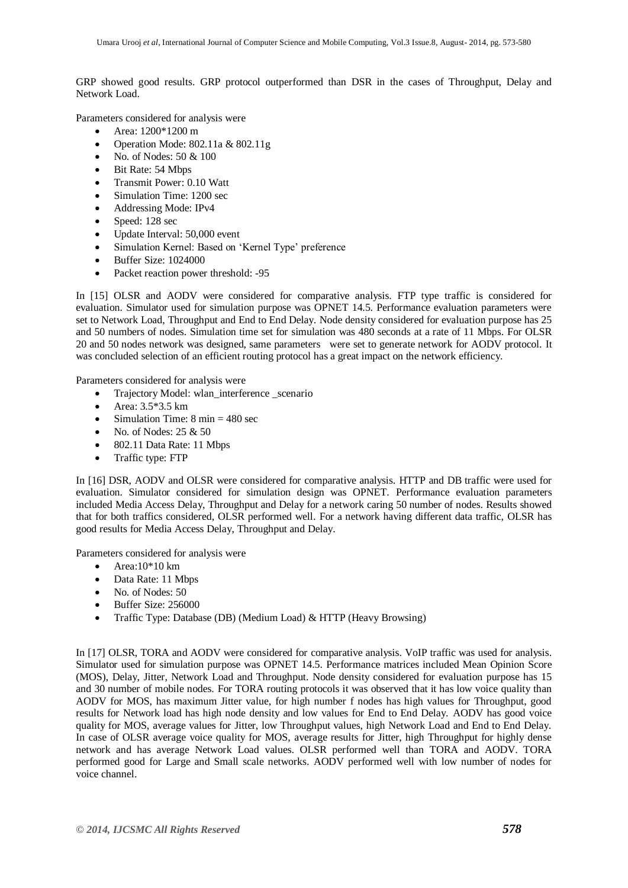GRP showed good results. GRP protocol outperformed than DSR in the cases of Throughput, Delay and Network Load.

Parameters considered for analysis were

- Area: 1200\*1200 m
- Operation Mode: 802.11a & 802.11g
- No. of Nodes: 50 & 100
- Bit Rate: 54 Mbps
- Transmit Power: 0.10 Watt
- Simulation Time: 1200 sec
- Addressing Mode: IPv4
- Speed: 128 sec
- Update Interval: 50,000 event
- Simulation Kernel: Based on 'Kernel Type' preference
- Buffer Size: 1024000
- Packet reaction power threshold: -95

In [15] OLSR and AODV were considered for comparative analysis. FTP type traffic is considered for evaluation. Simulator used for simulation purpose was OPNET 14.5. Performance evaluation parameters were set to Network Load, Throughput and End to End Delay. Node density considered for evaluation purpose has 25 and 50 numbers of nodes. Simulation time set for simulation was 480 seconds at a rate of 11 Mbps. For OLSR 20 and 50 nodes network was designed, same parameters were set to generate network for AODV protocol. It was concluded selection of an efficient routing protocol has a great impact on the network efficiency.

Parameters considered for analysis were

- Trajectory Model: wlan\_interference scenario
- Area:  $3.5*3.5 \text{ km}$
- Simulation Time:  $8 \text{ min} = 480 \text{ sec}$
- No. of Nodes: 25 & 50
- 802.11 Data Rate: 11 Mbps
- Traffic type: FTP

In [16] DSR, AODV and OLSR were considered for comparative analysis. HTTP and DB traffic were used for evaluation. Simulator considered for simulation design was OPNET. Performance evaluation parameters included Media Access Delay, Throughput and Delay for a network caring 50 number of nodes. Results showed that for both traffics considered, OLSR performed well. For a network having different data traffic, OLSR has good results for Media Access Delay, Throughput and Delay.

Parameters considered for analysis were

- $\bullet$  Area:10\*10 km
- Data Rate: 11 Mbps
- No. of Nodes: 50
- Buffer Size: 256000
- Traffic Type: Database (DB) (Medium Load) & HTTP (Heavy Browsing)

In [17] OLSR, TORA and AODV were considered for comparative analysis. VoIP traffic was used for analysis. Simulator used for simulation purpose was OPNET 14.5. Performance matrices included Mean Opinion Score (MOS), Delay, Jitter, Network Load and Throughput. Node density considered for evaluation purpose has 15 and 30 number of mobile nodes. For TORA routing protocols it was observed that it has low voice quality than AODV for MOS, has maximum Jitter value, for high number f nodes has high values for Throughput, good results for Network load has high node density and low values for End to End Delay. AODV has good voice quality for MOS, average values for Jitter, low Throughput values, high Network Load and End to End Delay. In case of OLSR average voice quality for MOS, average results for Jitter, high Throughput for highly dense network and has average Network Load values. OLSR performed well than TORA and AODV. TORA performed good for Large and Small scale networks. AODV performed well with low number of nodes for voice channel.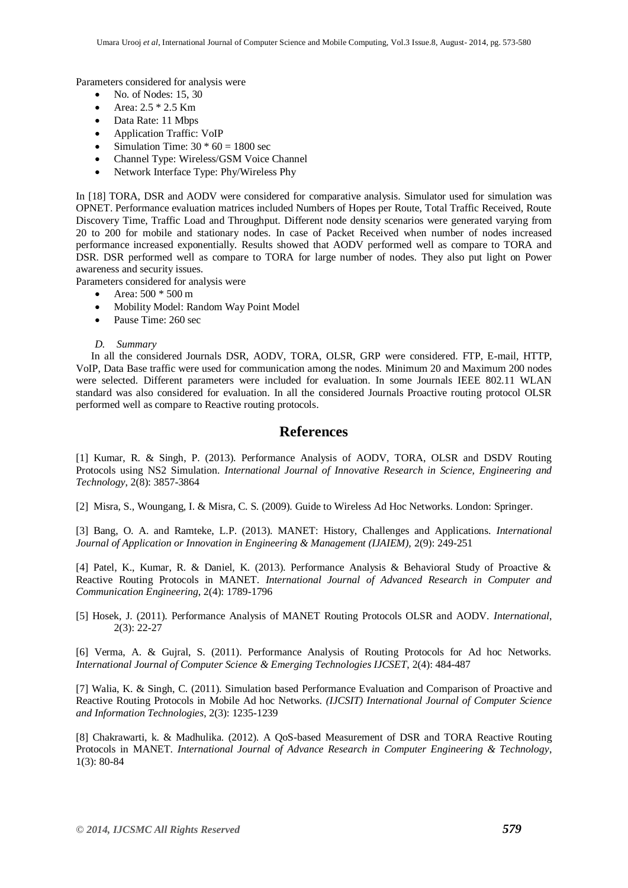Parameters considered for analysis were

- No. of Nodes: 15, 30
- Area:  $2.5 * 2.5$  Km
- Data Rate: 11 Mbps
- Application Traffic: VoIP
- Simulation Time:  $30 * 60 = 1800$  sec
- Channel Type: Wireless/GSM Voice Channel
- Network Interface Type: Phy/Wireless Phy

In [18] TORA, DSR and AODV were considered for comparative analysis. Simulator used for simulation was OPNET. Performance evaluation matrices included Numbers of Hopes per Route, Total Traffic Received, Route Discovery Time, Traffic Load and Throughput. Different node density scenarios were generated varying from 20 to 200 for mobile and stationary nodes. In case of Packet Received when number of nodes increased performance increased exponentially. Results showed that AODV performed well as compare to TORA and DSR. DSR performed well as compare to TORA for large number of nodes. They also put light on Power awareness and security issues.

Parameters considered for analysis were

- Area: 500 \* 500 m
- Mobility Model: Random Way Point Model
- Pause Time: 260 sec
- *D. Summary*

In all the considered Journals DSR, AODV, TORA, OLSR, GRP were considered. FTP, E-mail, HTTP, VoIP, Data Base traffic were used for communication among the nodes. Minimum 20 and Maximum 200 nodes were selected. Different parameters were included for evaluation. In some Journals IEEE 802.11 WLAN standard was also considered for evaluation. In all the considered Journals Proactive routing protocol OLSR performed well as compare to Reactive routing protocols.

## **References**

[1] Kumar, R. & Singh, P. (2013). Performance Analysis of AODV, TORA, OLSR and DSDV Routing Protocols using NS2 Simulation. *International Journal of Innovative Research in Science, Engineering and Technology*, 2(8): 3857-3864

[2] Misra, S., Woungang, I. & Misra, C. S. (2009). Guide to Wireless Ad Hoc Networks. London: Springer.

[3] Bang, O. A. and Ramteke, L.P. (2013). MANET: History, Challenges and Applications. *International Journal of Application or Innovation in Engineering & Management (IJAIEM), 2(9): 249-251* 

[4] Patel, K., Kumar, R. & Daniel, K. (2013). Performance Analysis & Behavioral Study of Proactive & Reactive Routing Protocols in MANET. *International Journal of Advanced Research in Computer and Communication Engineering*, 2(4): 1789-1796

[5] Hosek, J. (2011). Performance Analysis of MANET Routing Protocols OLSR and AODV. *International*, 2(3): 22-27

[6] Verma, A. & Gujral, S. (2011). Performance Analysis of Routing Protocols for Ad hoc Networks. *International Journal of Computer Science & Emerging Technologies IJCSET*, 2(4): 484-487

[7] Walia, K. & Singh, C. (2011). Simulation based Performance Evaluation and Comparison of Proactive and Reactive Routing Protocols in Mobile Ad hoc Networks. *(IJCSIT) International Journal of Computer Science and Information Technologies*, 2(3): 1235-1239

[8] Chakrawarti, k. & Madhulika. (2012). A QoS-based Measurement of DSR and TORA Reactive Routing Protocols in MANET. *International Journal of Advance Research in Computer Engineering & Technology*, 1(3): 80-84